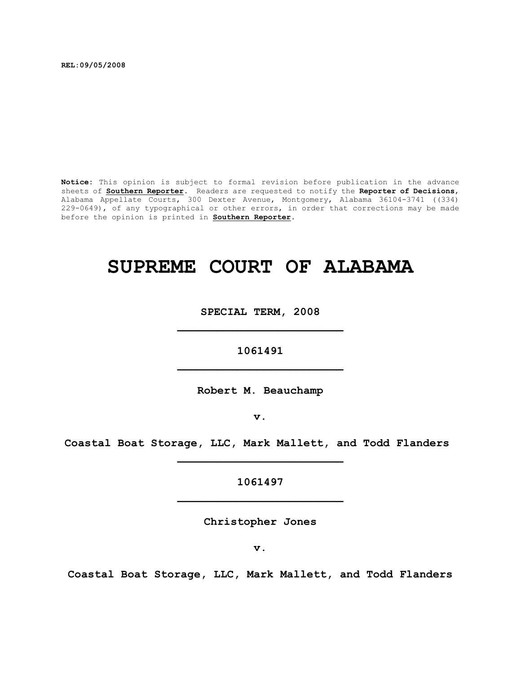**REL:09/05/2008**

**Notice:** This opinion is subject to formal revision before publication in the advance sheets of **Southern Reporter**. Readers are requested to notify the **Reporter of Decisions**, Alabama Appellate Courts, 300 Dexter Avenue, Montgomery, Alabama 36104-3741 ((334) 229-0649), of any typographical or other errors, in order that corrections may be made before the opinion is printed in **Southern Reporter**.

# **SUPREME COURT OF ALABAMA**

**SPECIAL TERM, 2008 \_\_\_\_\_\_\_\_\_\_\_\_\_\_\_\_\_\_\_\_\_\_\_\_\_**

**1061491 \_\_\_\_\_\_\_\_\_\_\_\_\_\_\_\_\_\_\_\_\_\_\_\_\_**

**Robert M. Beauchamp**

**v.**

**Coastal Boat Storage, LLC, Mark Mallett, and Todd Flanders \_\_\_\_\_\_\_\_\_\_\_\_\_\_\_\_\_\_\_\_\_\_\_\_\_**

> **1061497 \_\_\_\_\_\_\_\_\_\_\_\_\_\_\_\_\_\_\_\_\_\_\_\_\_**

> > **Christopher Jones**

**v.**

**Coastal Boat Storage, LLC, Mark Mallett, and Todd Flanders**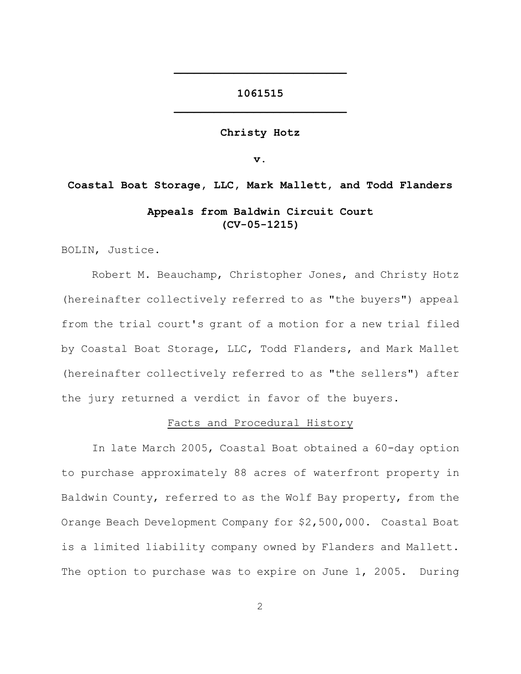# **1061515 \_\_\_\_\_\_\_\_\_\_\_\_\_\_\_\_\_\_\_\_\_\_\_\_\_\_**

**\_\_\_\_\_\_\_\_\_\_\_\_\_\_\_\_\_\_\_\_\_\_\_\_\_\_**

#### **Christy Hotz**

**v.**

**Coastal Boat Storage, LLC, Mark Mallett, and Todd Flanders Appeals from Baldwin Circuit Court (CV-05-1215)**

BOLIN, Justice.

Robert M. Beauchamp, Christopher Jones, and Christy Hotz (hereinafter collectively referred to as "the buyers") appeal from the trial court's grant of a motion for a new trial filed by Coastal Boat Storage, LLC, Todd Flanders, and Mark Mallet (hereinafter collectively referred to as "the sellers") after the jury returned a verdict in favor of the buyers.

#### Facts and Procedural History

In late March 2005, Coastal Boat obtained a 60-day option to purchase approximately 88 acres of waterfront property in Baldwin County, referred to as the Wolf Bay property, from the Orange Beach Development Company for \$2,500,000. Coastal Boat is a limited liability company owned by Flanders and Mallett. The option to purchase was to expire on June 1, 2005. During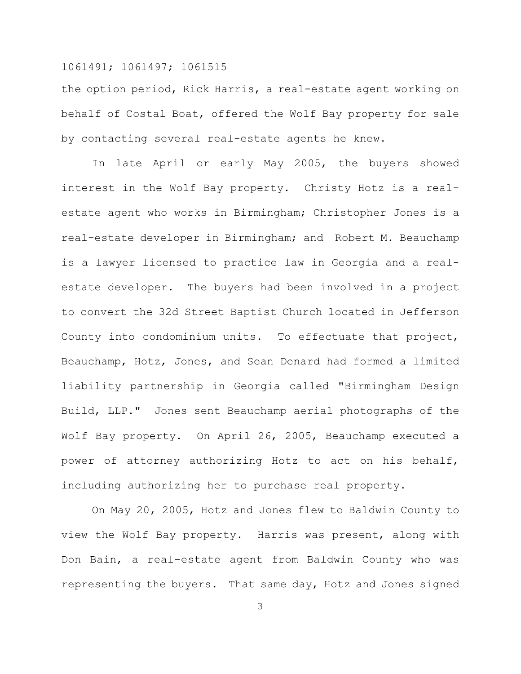the option period, Rick Harris, a real-estate agent working on behalf of Costal Boat, offered the Wolf Bay property for sale by contacting several real-estate agents he knew.

In late April or early May 2005, the buyers showed interest in the Wolf Bay property. Christy Hotz is a realestate agent who works in Birmingham; Christopher Jones is a real-estate developer in Birmingham; and Robert M. Beauchamp is a lawyer licensed to practice law in Georgia and a realestate developer. The buyers had been involved in a project to convert the 32d Street Baptist Church located in Jefferson County into condominium units. To effectuate that project, Beauchamp, Hotz, Jones, and Sean Denard had formed a limited liability partnership in Georgia called "Birmingham Design Build, LLP." Jones sent Beauchamp aerial photographs of the Wolf Bay property. On April 26, 2005, Beauchamp executed a power of attorney authorizing Hotz to act on his behalf, including authorizing her to purchase real property.

On May 20, 2005, Hotz and Jones flew to Baldwin County to view the Wolf Bay property. Harris was present, along with Don Bain, a real-estate agent from Baldwin County who was representing the buyers. That same day, Hotz and Jones signed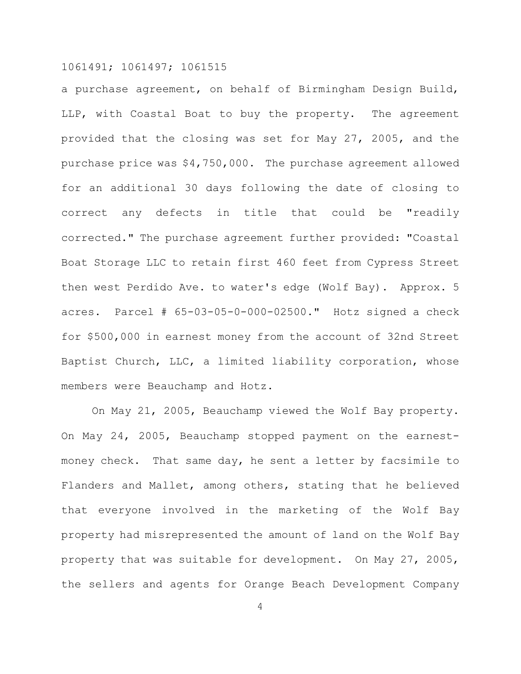a purchase agreement, on behalf of Birmingham Design Build, LLP, with Coastal Boat to buy the property. The agreement provided that the closing was set for May 27, 2005, and the purchase price was \$4,750,000. The purchase agreement allowed for an additional 30 days following the date of closing to correct any defects in title that could be "readily corrected." The purchase agreement further provided: "Coastal Boat Storage LLC to retain first 460 feet from Cypress Street then west Perdido Ave. to water's edge (Wolf Bay). Approx. 5 acres. Parcel # 65-03-05-0-000-02500." Hotz signed a check for \$500,000 in earnest money from the account of 32nd Street Baptist Church, LLC, a limited liability corporation, whose members were Beauchamp and Hotz.

On May 21, 2005, Beauchamp viewed the Wolf Bay property. On May 24, 2005, Beauchamp stopped payment on the earnestmoney check. That same day, he sent a letter by facsimile to Flanders and Mallet, among others, stating that he believed that everyone involved in the marketing of the Wolf Bay property had misrepresented the amount of land on the Wolf Bay property that was suitable for development. On May 27, 2005, the sellers and agents for Orange Beach Development Company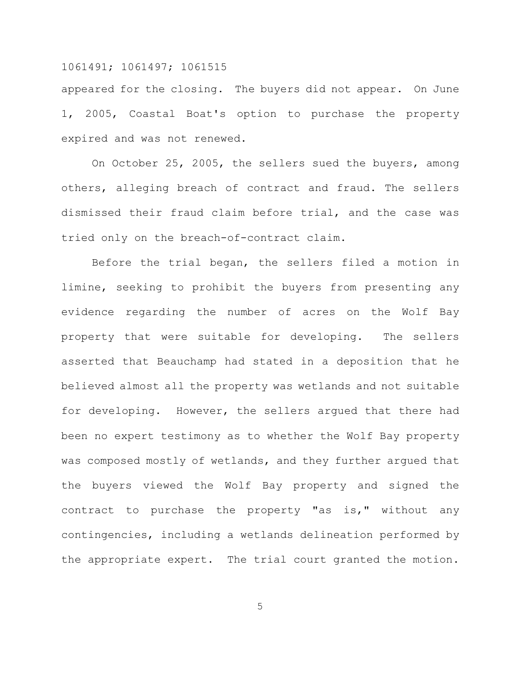appeared for the closing. The buyers did not appear. On June 1, 2005, Coastal Boat's option to purchase the property expired and was not renewed.

On October 25, 2005, the sellers sued the buyers, among others, alleging breach of contract and fraud. The sellers dismissed their fraud claim before trial, and the case was tried only on the breach-of-contract claim.

Before the trial began, the sellers filed a motion in limine, seeking to prohibit the buyers from presenting any evidence regarding the number of acres on the Wolf Bay property that were suitable for developing. The sellers asserted that Beauchamp had stated in a deposition that he believed almost all the property was wetlands and not suitable for developing. However, the sellers argued that there had been no expert testimony as to whether the Wolf Bay property was composed mostly of wetlands, and they further argued that the buyers viewed the Wolf Bay property and signed the contract to purchase the property "as is," without any contingencies, including a wetlands delineation performed by the appropriate expert. The trial court granted the motion.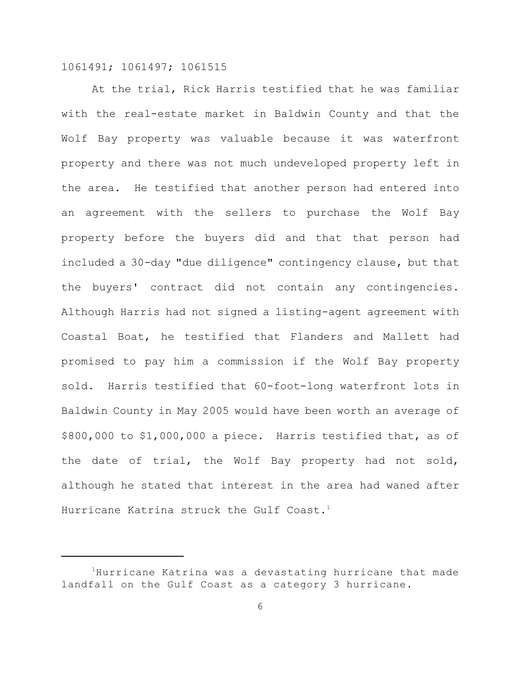At the trial, Rick Harris testified that he was familiar with the real-estate market in Baldwin County and that the Wolf Bay property was valuable because it was waterfront property and there was not much undeveloped property left in the area. He testified that another person had entered into an agreement with the sellers to purchase the Wolf Bay property before the buyers did and that that person had included a 30-day "due diligence" contingency clause, but that the buyers' contract did not contain any contingencies. Although Harris had not signed a listing-agent agreement with Coastal Boat, he testified that Flanders and Mallett had promised to pay him a commission if the Wolf Bay property sold. Harris testified that 60-foot-long waterfront lots in Baldwin County in May 2005 would have been worth an average of \$800,000 to \$1,000,000 a piece. Harris testified that, as of the date of trial, the Wolf Bay property had not sold, although he stated that interest in the area had waned after Hurricane Katrina struck the Gulf Coast. $^1$ 

 $1$ Hurricane Katrina was a devastating hurricane that made landfall on the Gulf Coast as a category 3 hurricane.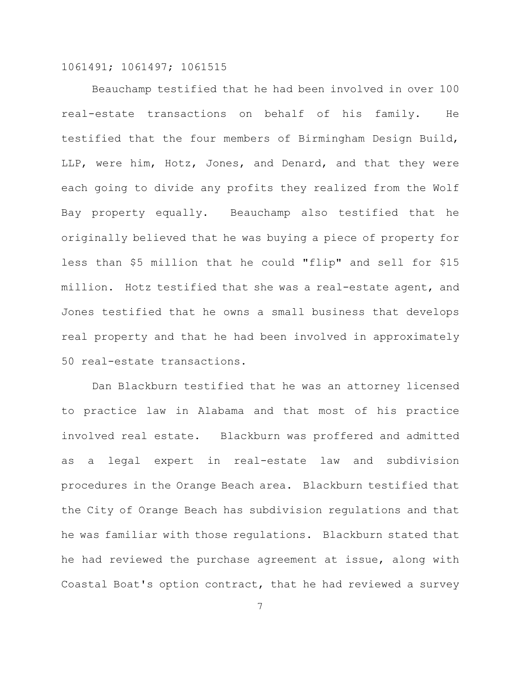Beauchamp testified that he had been involved in over 100 real-estate transactions on behalf of his family. He testified that the four members of Birmingham Design Build, LLP, were him, Hotz, Jones, and Denard, and that they were each going to divide any profits they realized from the Wolf Bay property equally. Beauchamp also testified that he originally believed that he was buying a piece of property for less than \$5 million that he could "flip" and sell for \$15 million. Hotz testified that she was a real-estate agent, and Jones testified that he owns a small business that develops real property and that he had been involved in approximately 50 real-estate transactions.

Dan Blackburn testified that he was an attorney licensed to practice law in Alabama and that most of his practice involved real estate. Blackburn was proffered and admitted as a legal expert in real-estate law and subdivision procedures in the Orange Beach area. Blackburn testified that the City of Orange Beach has subdivision regulations and that he was familiar with those regulations. Blackburn stated that he had reviewed the purchase agreement at issue, along with Coastal Boat's option contract, that he had reviewed a survey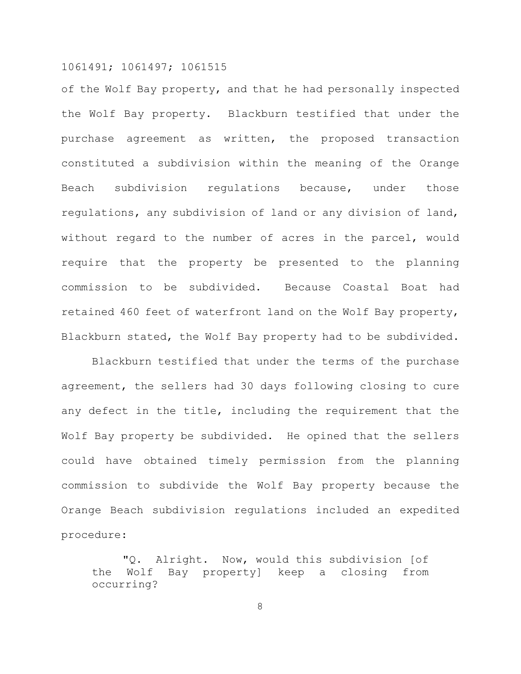of the Wolf Bay property, and that he had personally inspected the Wolf Bay property. Blackburn testified that under the purchase agreement as written, the proposed transaction constituted a subdivision within the meaning of the Orange Beach subdivision regulations because, under those regulations, any subdivision of land or any division of land, without regard to the number of acres in the parcel, would require that the property be presented to the planning commission to be subdivided. Because Coastal Boat had retained 460 feet of waterfront land on the Wolf Bay property, Blackburn stated, the Wolf Bay property had to be subdivided.

Blackburn testified that under the terms of the purchase agreement, the sellers had 30 days following closing to cure any defect in the title, including the requirement that the Wolf Bay property be subdivided. He opined that the sellers could have obtained timely permission from the planning commission to subdivide the Wolf Bay property because the Orange Beach subdivision regulations included an expedited procedure:

"Q. Alright. Now, would this subdivision [of the Wolf Bay property] keep a closing from occurring?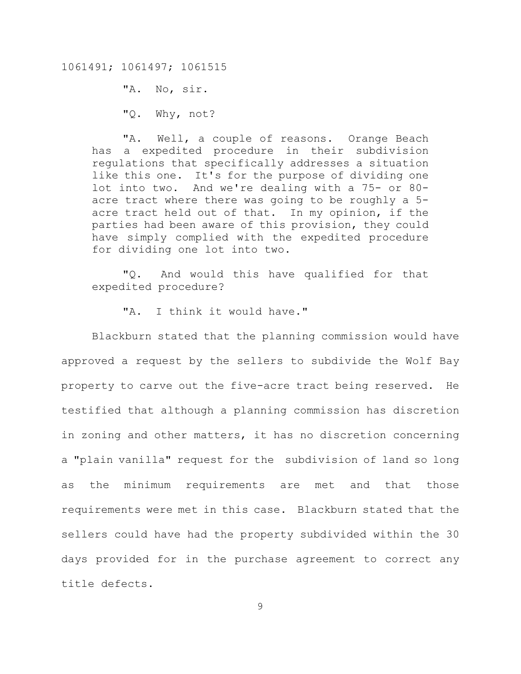"A. No, sir. "Q. Why, not?

"A. Well, a couple of reasons. Orange Beach has a expedited procedure in their subdivision regulations that specifically addresses a situation like this one. It's for the purpose of dividing one lot into two. And we're dealing with a 75- or 80 acre tract where there was going to be roughly a 5 acre tract held out of that. In my opinion, if the parties had been aware of this provision, they could have simply complied with the expedited procedure for dividing one lot into two.

"Q. And would this have qualified for that expedited procedure?

"A. I think it would have."

Blackburn stated that the planning commission would have approved a request by the sellers to subdivide the Wolf Bay property to carve out the five-acre tract being reserved. He testified that although a planning commission has discretion in zoning and other matters, it has no discretion concerning a "plain vanilla" request for the subdivision of land so long as the minimum requirements are met and that those requirements were met in this case. Blackburn stated that the sellers could have had the property subdivided within the 30 days provided for in the purchase agreement to correct any title defects.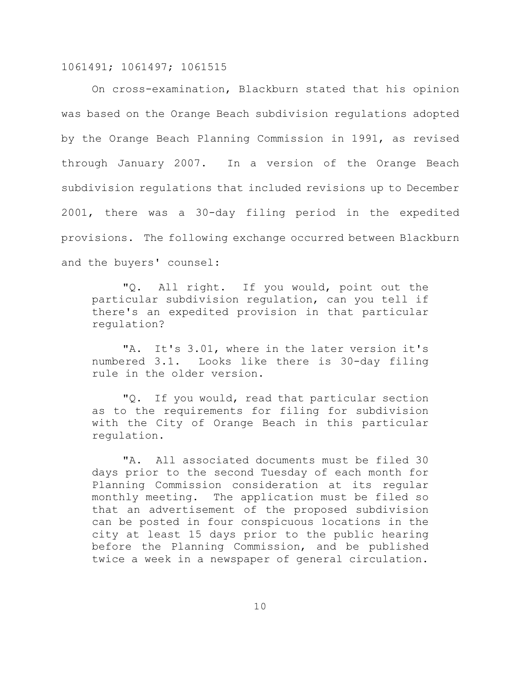On cross-examination, Blackburn stated that his opinion was based on the Orange Beach subdivision regulations adopted by the Orange Beach Planning Commission in 1991, as revised through January 2007. In a version of the Orange Beach subdivision regulations that included revisions up to December 2001, there was a 30-day filing period in the expedited provisions. The following exchange occurred between Blackburn and the buyers' counsel:

"Q. All right. If you would, point out the particular subdivision regulation, can you tell if there's an expedited provision in that particular regulation?

"A. It's 3.01, where in the later version it's numbered 3.1. Looks like there is 30-day filing rule in the older version.

"Q. If you would, read that particular section as to the requirements for filing for subdivision with the City of Orange Beach in this particular regulation.

"A. All associated documents must be filed 30 days prior to the second Tuesday of each month for Planning Commission consideration at its regular monthly meeting. The application must be filed so that an advertisement of the proposed subdivision can be posted in four conspicuous locations in the city at least 15 days prior to the public hearing before the Planning Commission, and be published twice a week in a newspaper of general circulation.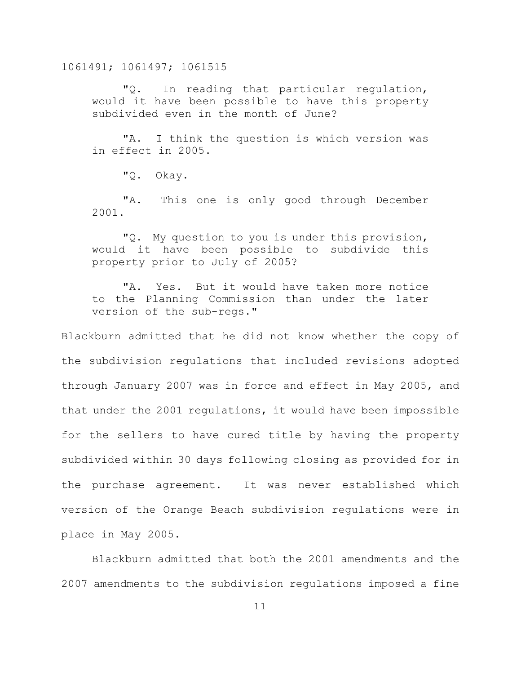"Q. In reading that particular regulation, would it have been possible to have this property subdivided even in the month of June?

"A. I think the question is which version was in effect in 2005.

"Q. Okay.

"A. This one is only good through December 2001.

"Q. My question to you is under this provision, would it have been possible to subdivide this property prior to July of 2005?

"A. Yes. But it would have taken more notice to the Planning Commission than under the later version of the sub-regs."

Blackburn admitted that he did not know whether the copy of the subdivision regulations that included revisions adopted through January 2007 was in force and effect in May 2005, and that under the 2001 regulations, it would have been impossible for the sellers to have cured title by having the property subdivided within 30 days following closing as provided for in the purchase agreement. It was never established which version of the Orange Beach subdivision regulations were in place in May 2005.

Blackburn admitted that both the 2001 amendments and the 2007 amendments to the subdivision regulations imposed a fine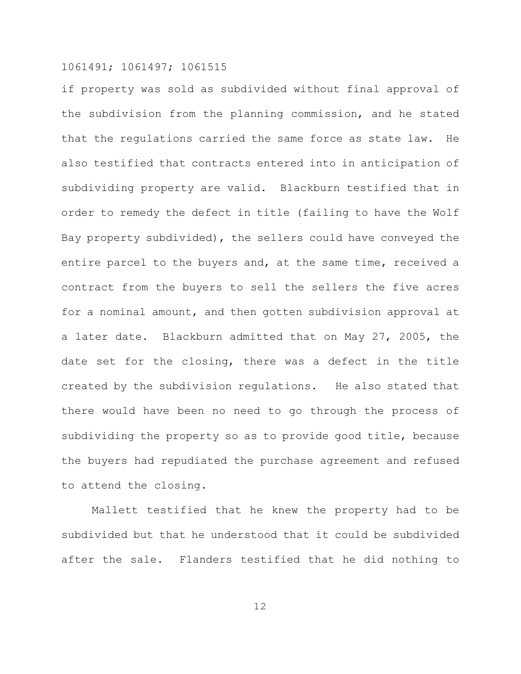if property was sold as subdivided without final approval of the subdivision from the planning commission, and he stated that the regulations carried the same force as state law. He also testified that contracts entered into in anticipation of subdividing property are valid. Blackburn testified that in order to remedy the defect in title (failing to have the Wolf Bay property subdivided), the sellers could have conveyed the entire parcel to the buyers and, at the same time, received a contract from the buyers to sell the sellers the five acres for a nominal amount, and then gotten subdivision approval at a later date. Blackburn admitted that on May 27, 2005, the date set for the closing, there was a defect in the title created by the subdivision regulations. He also stated that there would have been no need to go through the process of subdividing the property so as to provide good title, because the buyers had repudiated the purchase agreement and refused to attend the closing.

Mallett testified that he knew the property had to be subdivided but that he understood that it could be subdivided after the sale. Flanders testified that he did nothing to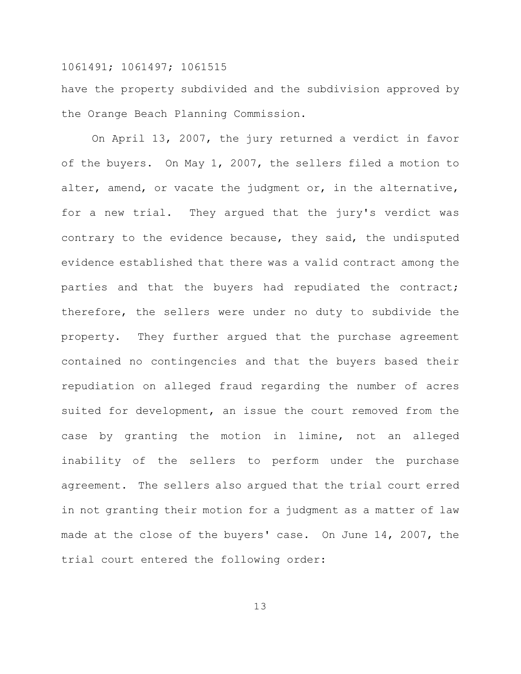have the property subdivided and the subdivision approved by the Orange Beach Planning Commission.

On April 13, 2007, the jury returned a verdict in favor of the buyers. On May 1, 2007, the sellers filed a motion to alter, amend, or vacate the judgment or, in the alternative, for a new trial. They argued that the jury's verdict was contrary to the evidence because, they said, the undisputed evidence established that there was a valid contract among the parties and that the buyers had repudiated the contract; therefore, the sellers were under no duty to subdivide the property. They further argued that the purchase agreement contained no contingencies and that the buyers based their repudiation on alleged fraud regarding the number of acres suited for development, an issue the court removed from the case by granting the motion in limine, not an alleged inability of the sellers to perform under the purchase agreement. The sellers also argued that the trial court erred in not granting their motion for a judgment as a matter of law made at the close of the buyers' case. On June 14, 2007, the trial court entered the following order: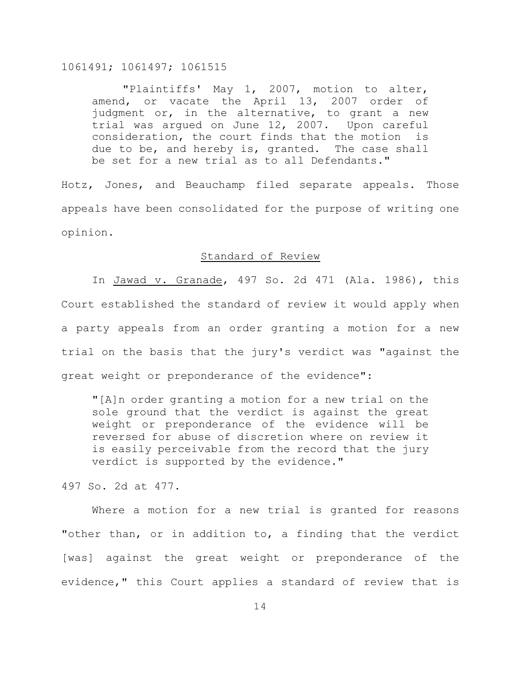"Plaintiffs' May 1, 2007, motion to alter, amend, or vacate the April 13, 2007 order of judgment or, in the alternative, to grant a new trial was argued on June 12, 2007. Upon careful consideration, the court finds that the motion is due to be, and hereby is, granted. The case shall be set for a new trial as to all Defendants."

Hotz, Jones, and Beauchamp filed separate appeals. Those appeals have been consolidated for the purpose of writing one opinion.

#### Standard of Review

In Jawad v. Granade, 497 So. 2d 471 (Ala. 1986), this Court established the standard of review it would apply when a party appeals from an order granting a motion for a new trial on the basis that the jury's verdict was "against the great weight or preponderance of the evidence":

"[A]n order granting a motion for a new trial on the sole ground that the verdict is against the great weight or preponderance of the evidence will be reversed for abuse of discretion where on review it is easily perceivable from the record that the jury verdict is supported by the evidence."

497 So. 2d at 477.

Where a motion for a new trial is granted for reasons "other than, or in addition to, a finding that the verdict [was] against the great weight or preponderance of the evidence," this Court applies a standard of review that is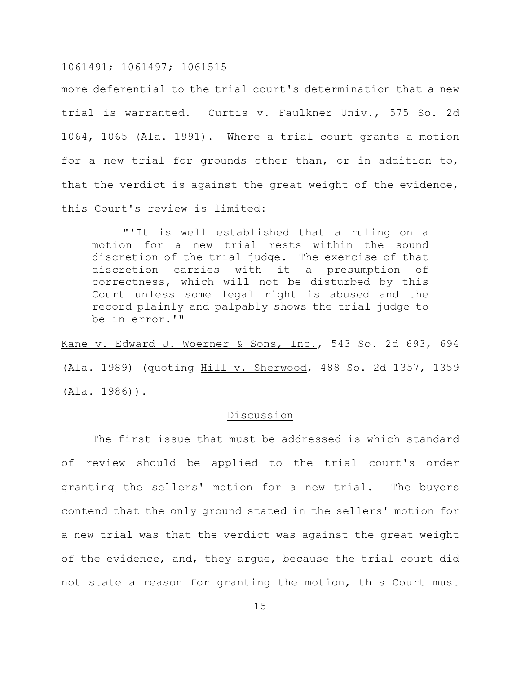more deferential to the trial court's determination that a new trial is warranted. Curtis v. Faulkner Univ., 575 So. 2d 1064, 1065 (Ala. 1991). Where a trial court grants a motion for a new trial for grounds other than, or in addition to, that the verdict is against the great weight of the evidence, this Court's review is limited:

"'It is well established that a ruling on a motion for a new trial rests within the sound discretion of the trial judge. The exercise of that discretion carries with it a presumption of correctness, which will not be disturbed by this Court unless some legal right is abused and the record plainly and palpably shows the trial judge to be in error.'"

Kane v. Edward J. Woerner & Sons, Inc., 543 So. 2d 693, 694 (Ala. 1989) (quoting Hill v. Sherwood, 488 So. 2d 1357, 1359 (Ala. 1986)).

#### **Discussion**

The first issue that must be addressed is which standard of review should be applied to the trial court's order granting the sellers' motion for a new trial. The buyers contend that the only ground stated in the sellers' motion for a new trial was that the verdict was against the great weight of the evidence, and, they argue, because the trial court did not state a reason for granting the motion, this Court must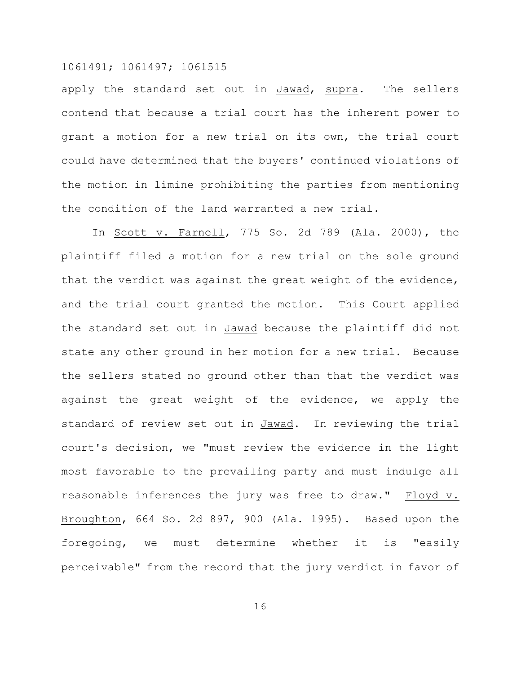apply the standard set out in Jawad, supra. The sellers contend that because a trial court has the inherent power to grant a motion for a new trial on its own, the trial court could have determined that the buyers' continued violations of the motion in limine prohibiting the parties from mentioning the condition of the land warranted a new trial.

In Scott v. Farnell, 775 So. 2d 789 (Ala. 2000), the plaintiff filed a motion for a new trial on the sole ground that the verdict was against the great weight of the evidence, and the trial court granted the motion. This Court applied the standard set out in Jawad because the plaintiff did not state any other ground in her motion for a new trial. Because the sellers stated no ground other than that the verdict was against the great weight of the evidence, we apply the standard of review set out in Jawad. In reviewing the trial court's decision, we "must review the evidence in the light most favorable to the prevailing party and must indulge all reasonable inferences the jury was free to draw."  $E$ loyd v. Broughton, 664 So. 2d 897, 900 (Ala. 1995). Based upon the foregoing, we must determine whether it is "easily perceivable" from the record that the jury verdict in favor of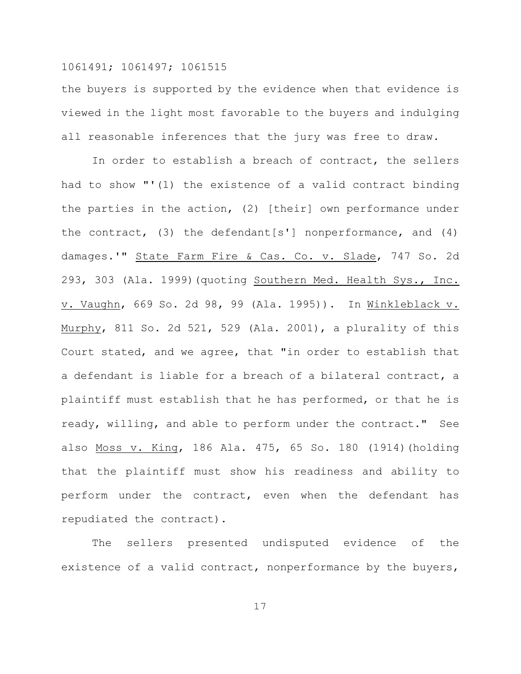the buyers is supported by the evidence when that evidence is viewed in the light most favorable to the buyers and indulging all reasonable inferences that the jury was free to draw.

In order to establish a breach of contract, the sellers had to show "'(1) the existence of a valid contract binding the parties in the action, (2) [their] own performance under the contract, (3) the defendant[s'] nonperformance, and (4) damages.'" State Farm Fire & Cas. Co. v. Slade, 747 So. 2d 293, 303 (Ala. 1999)(quoting Southern Med. Health Sys., Inc. v. Vaughn, 669 So. 2d 98, 99 (Ala. 1995)). In Winkleblack v. Murphy, 811 So. 2d 521, 529 (Ala. 2001), a plurality of this Court stated, and we agree, that "in order to establish that a defendant is liable for a breach of a bilateral contract, a plaintiff must establish that he has performed, or that he is ready, willing, and able to perform under the contract." See also Moss v. King, 186 Ala. 475, 65 So. 180 (1914)(holding that the plaintiff must show his readiness and ability to perform under the contract, even when the defendant has repudiated the contract).

The sellers presented undisputed evidence of the existence of a valid contract, nonperformance by the buyers,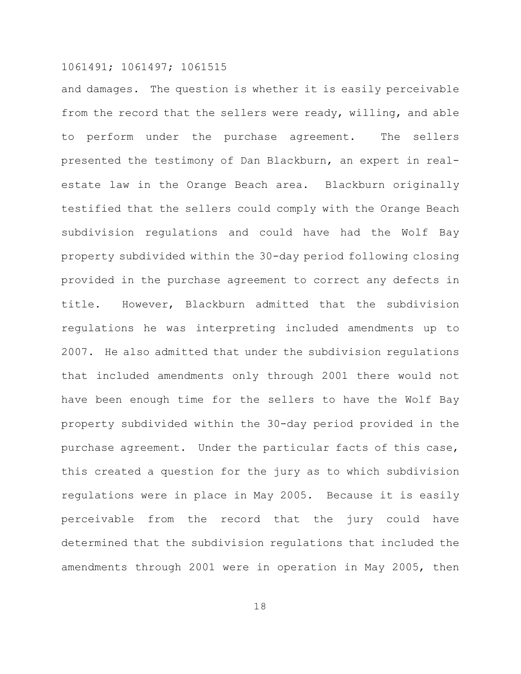and damages. The question is whether it is easily perceivable from the record that the sellers were ready, willing, and able to perform under the purchase agreement. The sellers presented the testimony of Dan Blackburn, an expert in realestate law in the Orange Beach area. Blackburn originally testified that the sellers could comply with the Orange Beach subdivision regulations and could have had the Wolf Bay property subdivided within the 30-day period following closing provided in the purchase agreement to correct any defects in title. However, Blackburn admitted that the subdivision regulations he was interpreting included amendments up to 2007. He also admitted that under the subdivision regulations that included amendments only through 2001 there would not have been enough time for the sellers to have the Wolf Bay property subdivided within the 30-day period provided in the purchase agreement. Under the particular facts of this case, this created a question for the jury as to which subdivision regulations were in place in May 2005. Because it is easily perceivable from the record that the jury could have determined that the subdivision regulations that included the amendments through 2001 were in operation in May 2005, then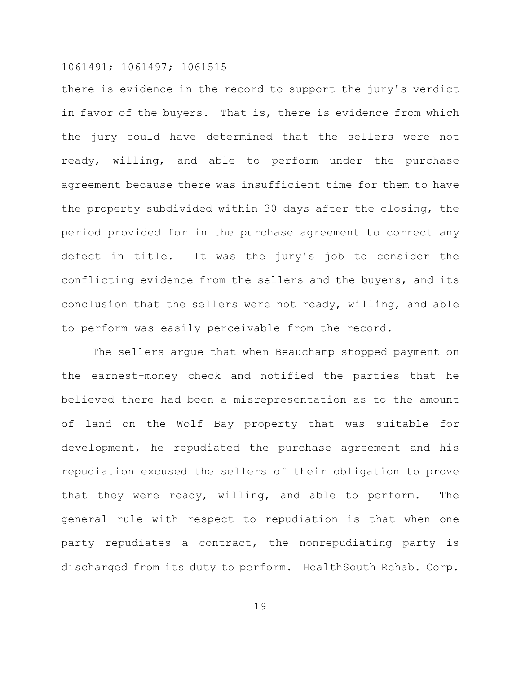there is evidence in the record to support the jury's verdict in favor of the buyers. That is, there is evidence from which the jury could have determined that the sellers were not ready, willing, and able to perform under the purchase agreement because there was insufficient time for them to have the property subdivided within 30 days after the closing, the period provided for in the purchase agreement to correct any defect in title. It was the jury's job to consider the conflicting evidence from the sellers and the buyers, and its conclusion that the sellers were not ready, willing, and able to perform was easily perceivable from the record.

The sellers argue that when Beauchamp stopped payment on the earnest-money check and notified the parties that he believed there had been a misrepresentation as to the amount of land on the Wolf Bay property that was suitable for development, he repudiated the purchase agreement and his repudiation excused the sellers of their obligation to prove that they were ready, willing, and able to perform. The general rule with respect to repudiation is that when one party repudiates a contract, the nonrepudiating party is discharged from its duty to perform. HealthSouth Rehab. Corp.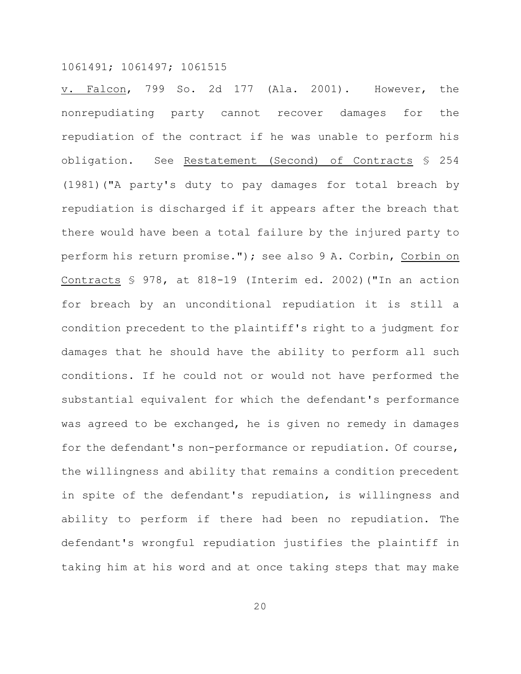v. Falcon, 799 So. 2d 177 (Ala. 2001). However, the nonrepudiating party cannot recover damages for the repudiation of the contract if he was unable to perform his obligation. See Restatement (Second) of Contracts § 254 (1981)("A party's duty to pay damages for total breach by repudiation is discharged if it appears after the breach that there would have been a total failure by the injured party to perform his return promise."); see also 9 A. Corbin, Corbin on Contracts § 978, at 818-19 (Interim ed. 2002)("In an action for breach by an unconditional repudiation it is still a condition precedent to the plaintiff's right to a judgment for damages that he should have the ability to perform all such conditions. If he could not or would not have performed the substantial equivalent for which the defendant's performance was agreed to be exchanged, he is given no remedy in damages for the defendant's non-performance or repudiation. Of course, the willingness and ability that remains a condition precedent in spite of the defendant's repudiation, is willingness and ability to perform if there had been no repudiation. The defendant's wrongful repudiation justifies the plaintiff in taking him at his word and at once taking steps that may make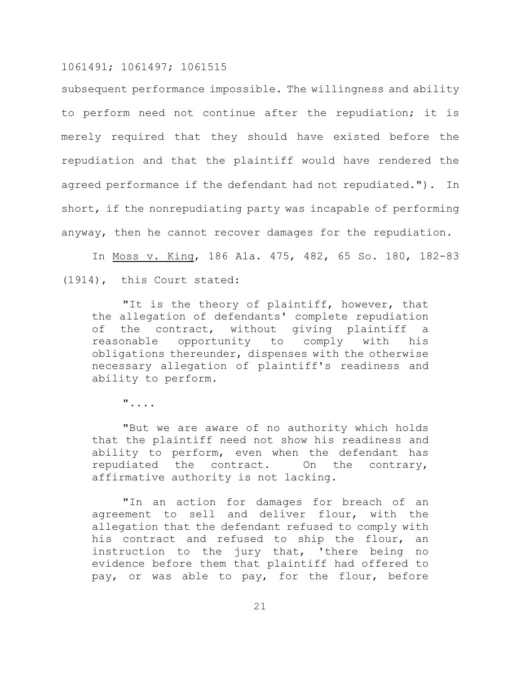subsequent performance impossible. The willingness and ability to perform need not continue after the repudiation; it is merely required that they should have existed before the repudiation and that the plaintiff would have rendered the agreed performance if the defendant had not repudiated."). In short, if the nonrepudiating party was incapable of performing anyway, then he cannot recover damages for the repudiation.

In Moss v. King, 186 Ala. 475, 482, 65 So. 180, 182-83 (1914), this Court stated:

"It is the theory of plaintiff, however, that the allegation of defendants' complete repudiation of the contract, without giving plaintiff a reasonable opportunity to comply with his obligations thereunder, dispenses with the otherwise necessary allegation of plaintiff's readiness and ability to perform.

"....

"But we are aware of no authority which holds that the plaintiff need not show his readiness and ability to perform, even when the defendant has repudiated the contract. On the contrary, affirmative authority is not lacking.

"In an action for damages for breach of an agreement to sell and deliver flour, with the allegation that the defendant refused to comply with his contract and refused to ship the flour, an instruction to the jury that, 'there being no evidence before them that plaintiff had offered to pay, or was able to pay, for the flour, before